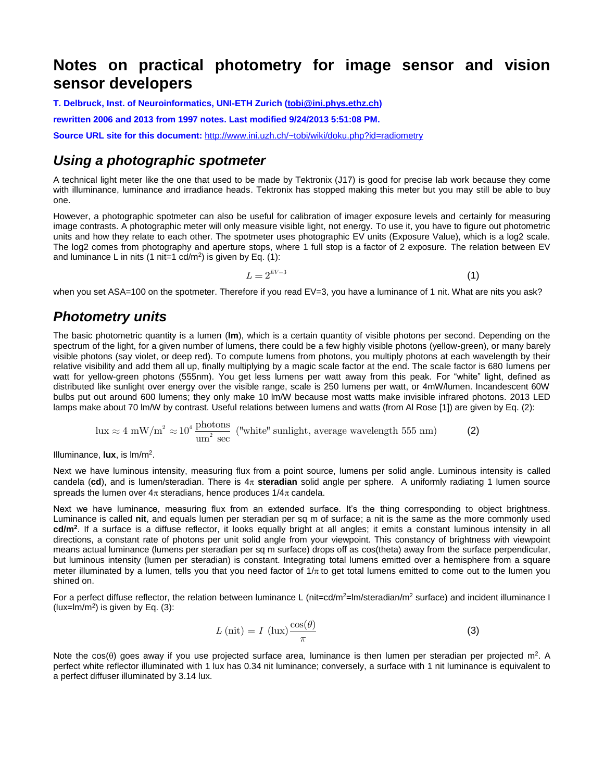# **Notes on practical photometry for image sensor and vision sensor developers**

**T. Delbruck, Inst. of Neuroinformatics, UNI-ETH Zurich [\(tobi@ini.phys.ethz.ch\)](mailto:tobi@ini.phys.ethz.ch)**

**rewritten 2006 and 2013 from 1997 notes. Last modified 9/24/2013 5:51:08 PM.**

**Source URL site for this document:** <http://www.ini.uzh.ch/~tobi/wiki/doku.php?id=radiometry>

## *Using a photographic spotmeter*

A technical light meter like the one that used to be made by Tektronix (J17) is good for precise lab work because they come with illuminance, luminance and irradiance heads. Tektronix has stopped making this meter but you may still be able to buy one.

However, a photographic spotmeter can also be useful for calibration of imager exposure levels and certainly for measuring image contrasts. A photographic meter will only measure visible light, not energy. To use it, you have to figure out photometric units and how they relate to each other. The spotmeter uses photographic EV units (Exposure Value), which is a log2 scale. The log2 comes from photography and aperture stops, where 1 full stop is a factor of 2 exposure. The relation between EV and luminance L in nits (1 nit=1 cd/m<sup>2</sup>) is given by Eq. (1):

> $L = 2^{EV-3}$ (1)

when you set ASA=100 on the spotmeter. Therefore if you read EV=3, you have a luminance of 1 nit. What are nits you ask?

## *Photometry units*

The basic photometric quantity is a lumen (**lm**), which is a certain quantity of visible photons per second. Depending on the spectrum of the light, for a given number of lumens, there could be a few highly visible photons (yellow-green), or many barely visible photons (say violet, or deep red). To compute lumens from photons, you multiply photons at each wavelength by their relative visibility and add them all up, finally multiplying by a magic scale factor at the end. The scale factor is 680 lumens per watt for yellow-green photons (555nm). You get less lumens per watt away from this peak. For "white" light, defined as distributed like sunlight over energy over the visible range, scale is 250 lumens per watt, or 4mW/lumen. Incandescent 60W bulbs put out around 600 lumens; they only make 10 lm/W because most watts make invisible infrared photons. 2013 LED

bulbs put out around 600 lumens; they only make 10 Im/W because most watts make invisible infrared photons. 2013 l  
lamps make about 70 Im/W by contrast. Useful relations between lumens and watts (from Al Rose [1]) are given by Eq. (2):  

$$
\text{lux} \approx 4 \text{ mW/m}^2 \approx 10^4 \frac{\text{photons}}{\text{um}^2 \text{ sec}} \text{ ("white" sunlight, average wavelength 555 nm)} \tag{2}
$$

Illuminance, **lux**, is lm/m<sup>2</sup> .

Next we have luminous intensity, measuring flux from a point source, lumens per solid angle. Luminous intensity is called candela (cd), and is lumen/steradian. There is  $4\pi$  steradian solid angle per sphere. A uniformly radiating 1 lumen source spreads the lumen over  $4\pi$  steradians, hence produces  $1/4\pi$  candela.

Next we have luminance, measuring flux from an extended surface. It's the thing corresponding to object brightness. Luminance is called **nit**, and equals lumen per steradian per sq m of surface; a nit is the same as the more commonly used **cd/m<sup>2</sup>** . If a surface is a diffuse reflector, it looks equally bright at all angles; it emits a constant luminous intensity in all directions, a constant rate of photons per unit solid angle from your viewpoint. This constancy of brightness with viewpoint means actual luminance (lumens per steradian per sq m surface) drops off as cos(theta) away from the surface perpendicular, but luminous intensity (lumen per steradian) is constant. Integrating total lumens emitted over a hemisphere from a square meter illuminated by a lumen, tells you that you need factor of  $1/\pi$  to get total lumens emitted to come out to the lumen you shined on.

For a perfect diffuse reflector, the relation between luminance L (nit=cd/m<sup>2</sup>=lm/steradian/m<sup>2</sup> surface) and incident illuminance l (lux= $Im/m<sup>2</sup>$ ) is given by Eq. (3):

$$
L\left(\text{nit}\right) = I\left(\text{lux}\right)\frac{\cos(\theta)}{\pi} \tag{3}
$$

Note the  $cos(\theta)$  goes away if you use projected surface area, luminance is then lumen per steradian per projected m<sup>2</sup>. A perfect white reflector illuminated with 1 lux has 0.34 nit luminance; conversely, a surface with 1 nit luminance is equivalent to a perfect diffuser illuminated by 3.14 lux.